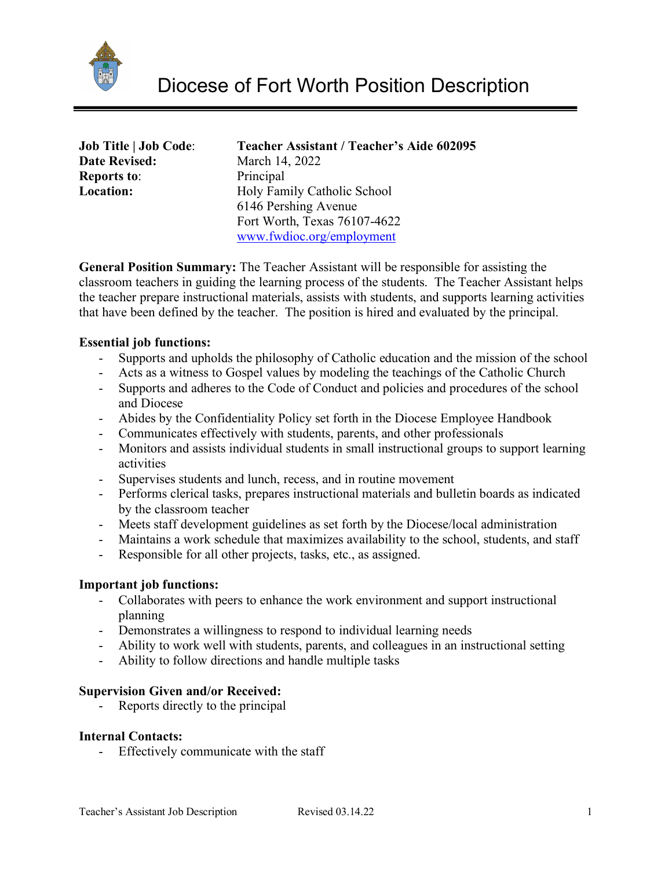

| <b>Job Title   Job Code:</b> |  |
|------------------------------|--|
| <b>Date Revised:</b>         |  |
| <b>Reports to:</b>           |  |
| Location:                    |  |

#### **Job Title | Job Code**: **Teacher Assistant / Teacher's Aide 602095 March 14, 2022**

Principal **Location:** Holy Family Catholic School 6146 Pershing Avenue Fort Worth, Texas 76107-4622 [www.fwdioc.org/employment](http://www.fwdioc.org/employment)

**General Position Summary:** The Teacher Assistant will be responsible for assisting the classroom teachers in guiding the learning process of the students. The Teacher Assistant helps the teacher prepare instructional materials, assists with students, and supports learning activities that have been defined by the teacher. The position is hired and evaluated by the principal.

## **Essential job functions:**

- Supports and upholds the philosophy of Catholic education and the mission of the school
- Acts as a witness to Gospel values by modeling the teachings of the Catholic Church
- Supports and adheres to the Code of Conduct and policies and procedures of the school and Diocese
- Abides by the Confidentiality Policy set forth in the Diocese Employee Handbook
- Communicates effectively with students, parents, and other professionals
- Monitors and assists individual students in small instructional groups to support learning activities
- Supervises students and lunch, recess, and in routine movement
- Performs clerical tasks, prepares instructional materials and bulletin boards as indicated by the classroom teacher
- Meets staff development guidelines as set forth by the Diocese/local administration
- Maintains a work schedule that maximizes availability to the school, students, and staff
- Responsible for all other projects, tasks, etc., as assigned.

### **Important job functions:**

- Collaborates with peers to enhance the work environment and support instructional planning
- Demonstrates a willingness to respond to individual learning needs
- Ability to work well with students, parents, and colleagues in an instructional setting
- Ability to follow directions and handle multiple tasks

# **Supervision Given and/or Received:**

- Reports directly to the principal

### **Internal Contacts:**

- Effectively communicate with the staff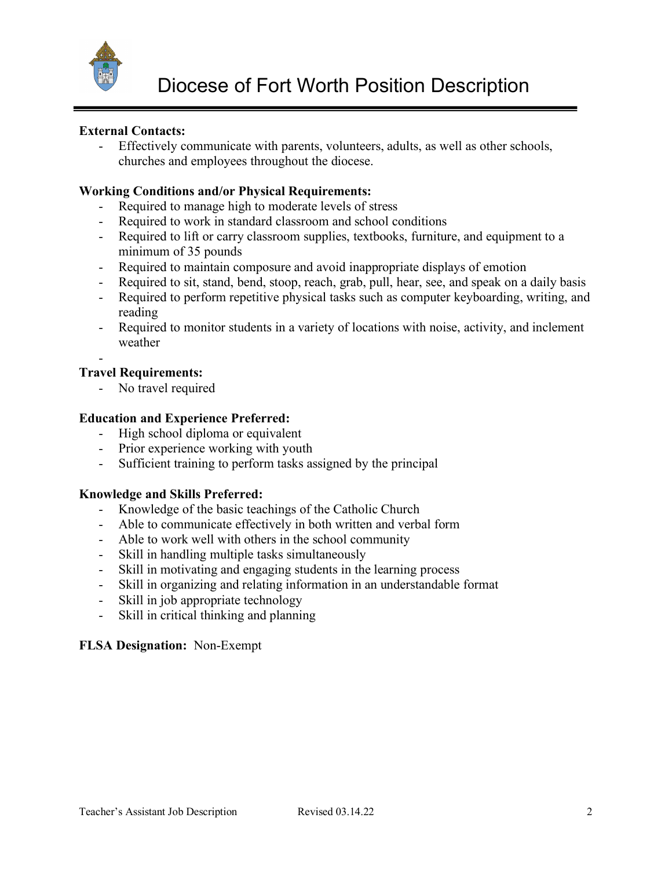

## **External Contacts:**

Effectively communicate with parents, volunteers, adults, as well as other schools, churches and employees throughout the diocese.

## **Working Conditions and/or Physical Requirements:**

- Required to manage high to moderate levels of stress
- Required to work in standard classroom and school conditions
- Required to lift or carry classroom supplies, textbooks, furniture, and equipment to a minimum of 35 pounds
- Required to maintain composure and avoid inappropriate displays of emotion
- Required to sit, stand, bend, stoop, reach, grab, pull, hear, see, and speak on a daily basis
- Required to perform repetitive physical tasks such as computer keyboarding, writing, and reading
- Required to monitor students in a variety of locations with noise, activity, and inclement weather

#### - **Travel Requirements:**

- No travel required

## **Education and Experience Preferred:**

- High school diploma or equivalent
- Prior experience working with youth
- Sufficient training to perform tasks assigned by the principal

### **Knowledge and Skills Preferred:**

- Knowledge of the basic teachings of the Catholic Church
- Able to communicate effectively in both written and verbal form
- Able to work well with others in the school community
- Skill in handling multiple tasks simultaneously
- Skill in motivating and engaging students in the learning process
- Skill in organizing and relating information in an understandable format
- Skill in job appropriate technology
- Skill in critical thinking and planning

# **FLSA Designation:** Non-Exempt